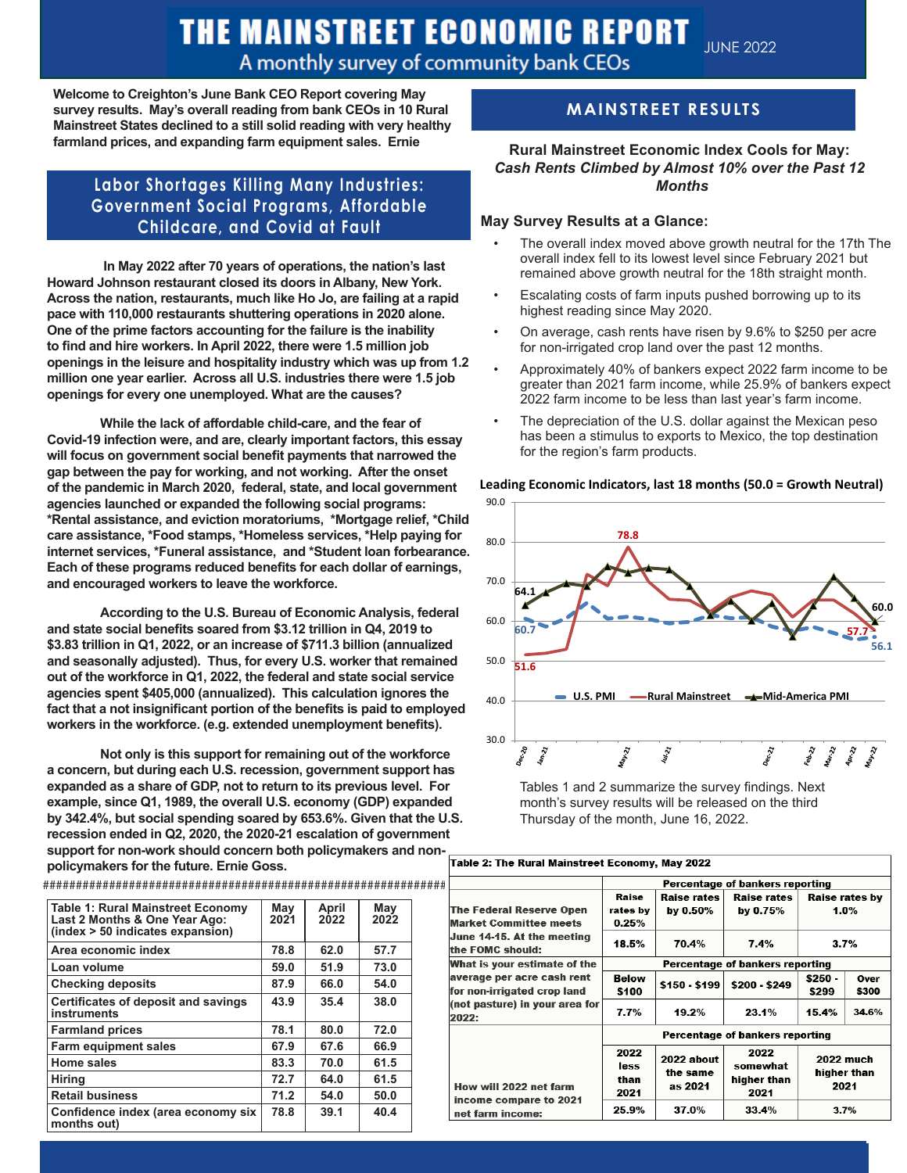## THE MAINSTREET ECONOMIC REPORT A monthly survey of community bank CEOs

**Welcome to Creighton's June Bank CEO Report covering May survey results. May's overall reading from bank CEOs in 10 Rural Mainstreet States declined to a still solid reading with very healthy farmland prices, and expanding farm equipment sales. Ernie**

## **Labor Shortages Killing Many Industries: Government Social Programs, Affordable Childcare, and Covid at Fault**

 **In May 2022 after 70 years of operations, the nation's last Howard Johnson restaurant closed its doors in Albany, New York. Across the nation, restaurants, much like Ho Jo, are failing at a rapid pace with 110,000 restaurants shuttering operations in 2020 alone. One of the prime factors accounting for the failure is the inability to find and hire workers. In April 2022, there were 1.5 million job openings in the leisure and hospitality industry which was up from 1.2 million one year earlier. Across all U.S. industries there were 1.5 job openings for every one unemployed. What are the causes?**

**While the lack of affordable child-care, and the fear of Covid-19 infection were, and are, clearly important factors, this essay will focus on government social benefit payments that narrowed the gap between the pay for working, and not working. After the onset of the pandemic in March 2020, federal, state, and local government agencies launched or expanded the following social programs: \*Rental assistance, and eviction moratoriums, \*Mortgage relief, \*Child care assistance, \*Food stamps, \*Homeless services, \*Help paying for internet services, \*Funeral assistance, and \*Student loan forbearance. Each of these programs reduced benefits for each dollar of earnings, and encouraged workers to leave the workforce.** 

**According to the U.S. Bureau of Economic Analysis, federal and state social benefits soared from \$3.12 trillion in Q4, 2019 to \$3.83 trillion in Q1, 2022, or an increase of \$711.3 billion (annualized and seasonally adjusted). Thus, for every U.S. worker that remained out of the workforce in Q1, 2022, the federal and state social service agencies spent \$405,000 (annualized). This calculation ignores the fact that a not insignificant portion of the benefits is paid to employed workers in the workforce. (e.g. extended unemployment benefits).** 

**Not only is this support for remaining out of the workforce a concern, but during each U.S. recession, government support has expanded as a share of GDP, not to return to its previous level. For example, since Q1, 1989, the overall U.S. economy (GDP) expanded by 342.4%, but social spending soared by 653.6%. Given that the U.S. recession ended in Q2, 2020, the 2020-21 escalation of government support for non-work should concern both policymakers and nonpolicymakers for the future. Ernie Goss.**

| <b>TUDIOS INTO THE SECTION OF A SECTION OF A SECTION OF A SECTION OF A SECTION OF A SECTION OF A SECTION OF A SECTION OF A SECTION OF A SECTION OF A SECTION OF A SECTION OF A SECTION OF A SECTION OF A SECTION OF A SECTION O</b><br>support for non-work should concern both policymakers and non- |  |  |
|-------------------------------------------------------------------------------------------------------------------------------------------------------------------------------------------------------------------------------------------------------------------------------------------------------|--|--|
| policymakers for the future. Ernie Goss.                                                                                                                                                                                                                                                              |  |  |
|                                                                                                                                                                                                                                                                                                       |  |  |
|                                                                                                                                                                                                                                                                                                       |  |  |

| <b>Table 1: Rural Mainstreet Economy</b><br>Last 2 Months & One Year Ago:<br>(index > 50 indicates expansion) | May<br>2021 | April<br>2022 | May<br>2022 |
|---------------------------------------------------------------------------------------------------------------|-------------|---------------|-------------|
| Area economic index                                                                                           | 78.8        | 62.0          | 57.7        |
| Loan volume                                                                                                   | 59.0        | 51.9          | 73.0        |
| <b>Checking deposits</b>                                                                                      | 87.9        | 66.0          | 54.0        |
| Certificates of deposit and savings<br>instruments                                                            | 43.9        | 35.4          | 38.0        |
| <b>Farmland prices</b>                                                                                        | 78.1        | 80.0          | 72.0        |
| <b>Farm equipment sales</b>                                                                                   | 67.9        | 67.6          | 66.9        |
| Home sales                                                                                                    | 83.3        | 70.0          | 61.5        |
| <b>Hiring</b>                                                                                                 | 72.7        | 64.0          | 61.5        |
| <b>Retail business</b>                                                                                        | 71.2        | 54.0          | 50.0        |
| Confidence index (area economy six<br>months out)                                                             | 78.8        | 39.1          | 40.4        |
|                                                                                                               |             |               |             |

## **MAINSTREET RESULTS**

## **Rural Mainstreet Economic Index Cools for May:** *Cash Rents Climbed by Almost 10% over the Past 12 Months*

#### **May Survey Results at a Glance:**

- The overall index moved above growth neutral for the 17th The overall index fell to its lowest level since February 2021 but remained above growth neutral for the 18th straight month.
- Escalating costs of farm inputs pushed borrowing up to its highest reading since May 2020.
- On average, cash rents have risen by 9.6% to \$250 per acre for non-irrigated crop land over the past 12 months.
- Approximately 40% of bankers expect 2022 farm income to be greater than 2021 farm income, while 25.9% of bankers expect 2022 farm income to be less than last year's farm income.
- The depreciation of the U.S. dollar against the Mexican peso has been a stimulus to exports to Mexico, the top destination for the region's farm products.



Tables 1 and 2 summarize the survey findings. Next month's survey results will be released on the third Thursday of the month, June 16, 2022.

| Н                                                                               | Percentage of bankers reporting |                                   |                                         |                                       |               |  |
|---------------------------------------------------------------------------------|---------------------------------|-----------------------------------|-----------------------------------------|---------------------------------------|---------------|--|
| <b>The Federal Reserve Open</b>                                                 | Raise<br>rates by               | Raise rates<br>by 0.50%           | Raise rates<br>by 0.75%                 | <b>Raise rates by</b><br>1.0%<br>3.7% |               |  |
| <b>Market Committee meets</b><br>June 14-15. At the meeting<br>the FOMC should: | 0.25%<br>18.5%                  | 70.4%                             | 7.4%                                    |                                       |               |  |
| What is your estimate of the                                                    | Percentage of bankers reporting |                                   |                                         |                                       |               |  |
| average per acre cash rent<br>for non-irrigated crop land                       | Below<br>\$100                  | \$150 - \$199                     | \$200 - \$249                           | \$250 -<br>\$299                      | Over<br>\$300 |  |
| (not pasture) in your area for<br>2022:                                         | 7.7%                            | 19.2%                             | 23.1%                                   | 15.4%                                 | 34.6%         |  |
|                                                                                 | Percentage of bankers reporting |                                   |                                         |                                       |               |  |
| How will 2022 net farm<br>income compare to 2021<br>net farm income:            | 2022<br>less<br>than<br>2021    | 2022 about<br>the same<br>as 2021 | 2022<br>somewhat<br>higher than<br>2021 | 2022 much<br>higher than<br>2021      |               |  |
|                                                                                 | 25.9%                           | 37.0%                             | 33.4%                                   | 3.7%                                  |               |  |

#### **Leading Economic Indicators, last 18 months (50.0 = Growth Neutral)**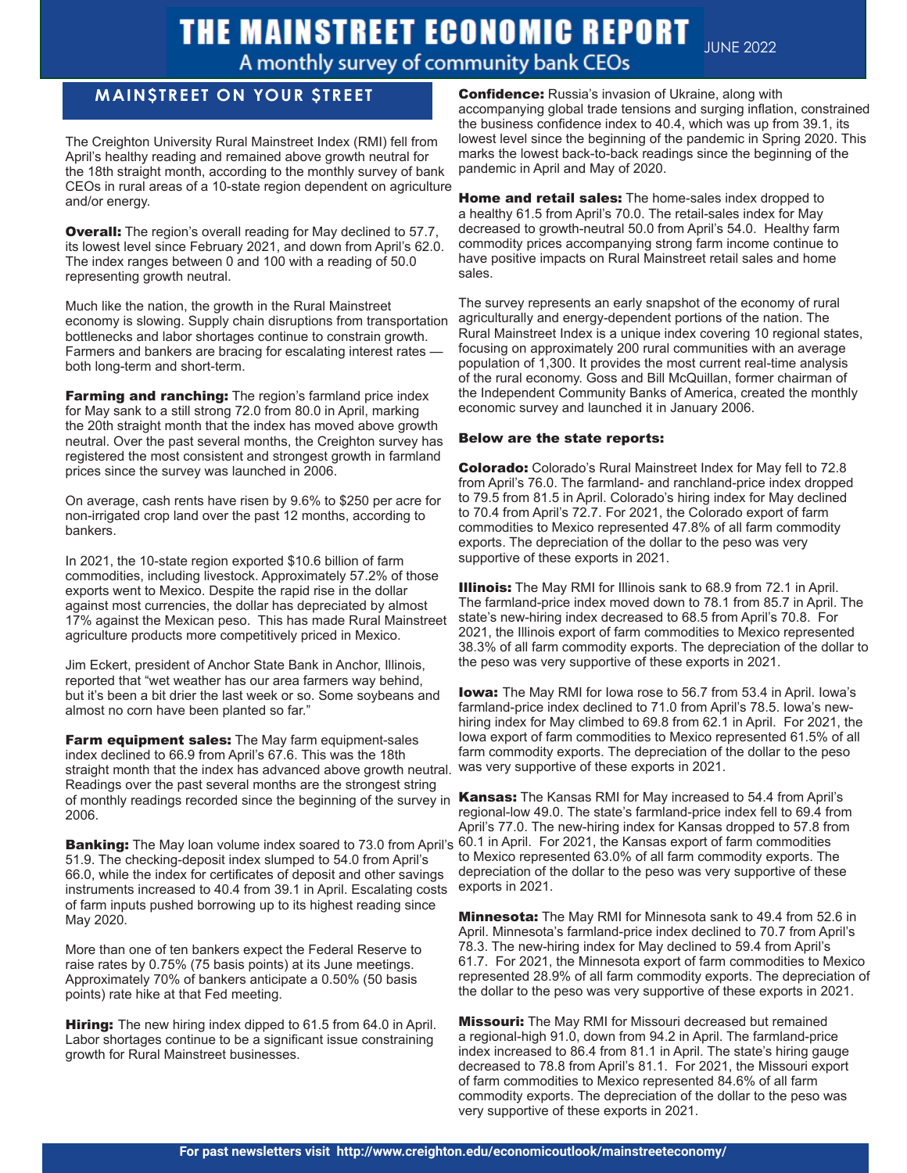# THE MAINSTREET ECONOMIC REPORT

**JUNE 2022** 

## A monthly survey of community bank CEOs

## **MAIN\$TREET ON YOUR \$TREET**

Ī

The Creighton University Rural Mainstreet Index (RMI) fell from April's healthy reading and remained above growth neutral for the 18th straight month, according to the monthly survey of bank CEOs in rural areas of a 10-state region dependent on agriculture and/or energy.

**Overall:** The region's overall reading for May declined to 57.7, its lowest level since February 2021, and down from April's 62.0. The index ranges between 0 and 100 with a reading of 50.0 representing growth neutral.

Much like the nation, the growth in the Rural Mainstreet economy is slowing. Supply chain disruptions from transportation bottlenecks and labor shortages continue to constrain growth. Farmers and bankers are bracing for escalating interest rates both long-term and short-term.

**Farming and ranching:** The region's farmland price index for May sank to a still strong 72.0 from 80.0 in April, marking the 20th straight month that the index has moved above growth neutral. Over the past several months, the Creighton survey has registered the most consistent and strongest growth in farmland prices since the survey was launched in 2006.

On average, cash rents have risen by 9.6% to \$250 per acre for non-irrigated crop land over the past 12 months, according to bankers.

In 2021, the 10-state region exported \$10.6 billion of farm commodities, including livestock. Approximately 57.2% of those exports went to Mexico. Despite the rapid rise in the dollar against most currencies, the dollar has depreciated by almost 17% against the Mexican peso. This has made Rural Mainstreet agriculture products more competitively priced in Mexico.

Jim Eckert, president of Anchor State Bank in Anchor, Illinois, reported that "wet weather has our area farmers way behind, but it's been a bit drier the last week or so. Some soybeans and almost no corn have been planted so far."

Farm equipment sales: The May farm equipment-sales index declined to 66.9 from April's 67.6. This was the 18th straight month that the index has advanced above growth neutral. Readings over the past several months are the strongest string of monthly readings recorded since the beginning of the survey in **Kansas:** The Kansas RMI for May increased to 54.4 from April's 2006.

Banking: The May loan volume index soared to 73.0 from April's 60.1 in April. For 2021, the Kansas export of farm commodities 51.9. The checking-deposit index slumped to 54.0 from April's 66.0, while the index for certificates of deposit and other savings instruments increased to 40.4 from 39.1 in April. Escalating costs of farm inputs pushed borrowing up to its highest reading since May 2020.

More than one of ten bankers expect the Federal Reserve to raise rates by 0.75% (75 basis points) at its June meetings. Approximately 70% of bankers anticipate a 0.50% (50 basis points) rate hike at that Fed meeting.

**Hiring:** The new hiring index dipped to 61.5 from 64.0 in April. Labor shortages continue to be a significant issue constraining growth for Rural Mainstreet businesses.

**Confidence:** Russia's invasion of Ukraine, along with accompanying global trade tensions and surging inflation, constrained the business confidence index to 40.4, which was up from 39.1, its lowest level since the beginning of the pandemic in Spring 2020. This marks the lowest back-to-back readings since the beginning of the pandemic in April and May of 2020.

**Home and retail sales:** The home-sales index dropped to a healthy 61.5 from April's 70.0. The retail-sales index for May decreased to growth-neutral 50.0 from April's 54.0. Healthy farm commodity prices accompanying strong farm income continue to have positive impacts on Rural Mainstreet retail sales and home sales.

agriculturally and energy-dependent portions of the nation. The<br>Rural Mainstreet Index is a unique index covering 10 regional states, The survey represents an early snapshot of the economy of rural agriculturally and energy-dependent portions of the nation. The focusing on approximately 200 rural communities with an average population of 1,300. It provides the most current real-time analysis of the rural economy. Goss and Bill McQuillan, former chairman of the Independent Community Banks of America, created the monthly economic survey and launched it in January 2006.

## Below are the state reports:

Colorado: Colorado's Rural Mainstreet Index for May fell to 72.8 from April's 76.0. The farmland- and ranchland-price index dropped to 79.5 from 81.5 in April. Colorado's hiring index for May declined to 70.4 from April's 72.7. For 2021, the Colorado export of farm commodities to Mexico represented 47.8% of all farm commodity exports. The depreciation of the dollar to the peso was very supportive of these exports in 2021.

**Illinois:** The May RMI for Illinois sank to 68.9 from 72.1 in April. The farmland-price index moved down to 78.1 from 85.7 in April. The state's new-hiring index decreased to 68.5 from April's 70.8. For 2021, the Illinois export of farm commodities to Mexico represented 38.3% of all farm commodity exports. The depreciation of the dollar to the peso was very supportive of these exports in 2021.

**Iowa:** The May RMI for Iowa rose to 56.7 from 53.4 in April. Iowa's farmland-price index declined to 71.0 from April's 78.5. Iowa's newhiring index for May climbed to 69.8 from 62.1 in April. For 2021, the Iowa export of farm commodities to Mexico represented 61.5% of all farm commodity exports. The depreciation of the dollar to the peso was very supportive of these exports in 2021.

regional-low 49.0. The state's farmland-price index fell to 69.4 from April's 77.0. The new-hiring index for Kansas dropped to 57.8 from to Mexico represented 63.0% of all farm commodity exports. The depreciation of the dollar to the peso was very supportive of these exports in 2021.

**Minnesota:** The May RMI for Minnesota sank to 49.4 from 52.6 in April. Minnesota's farmland-price index declined to 70.7 from April's 78.3. The new-hiring index for May declined to 59.4 from April's 61.7. For 2021, the Minnesota export of farm commodities to Mexico represented 28.9% of all farm commodity exports. The depreciation of the dollar to the peso was very supportive of these exports in 2021.

**Missouri:** The May RMI for Missouri decreased but remained a regional-high 91.0, down from 94.2 in April. The farmland-price index increased to 86.4 from 81.1 in April. The state's hiring gauge decreased to 78.8 from April's 81.1. For 2021, the Missouri export of farm commodities to Mexico represented 84.6% of all farm commodity exports. The depreciation of the dollar to the peso was very supportive of these exports in 2021.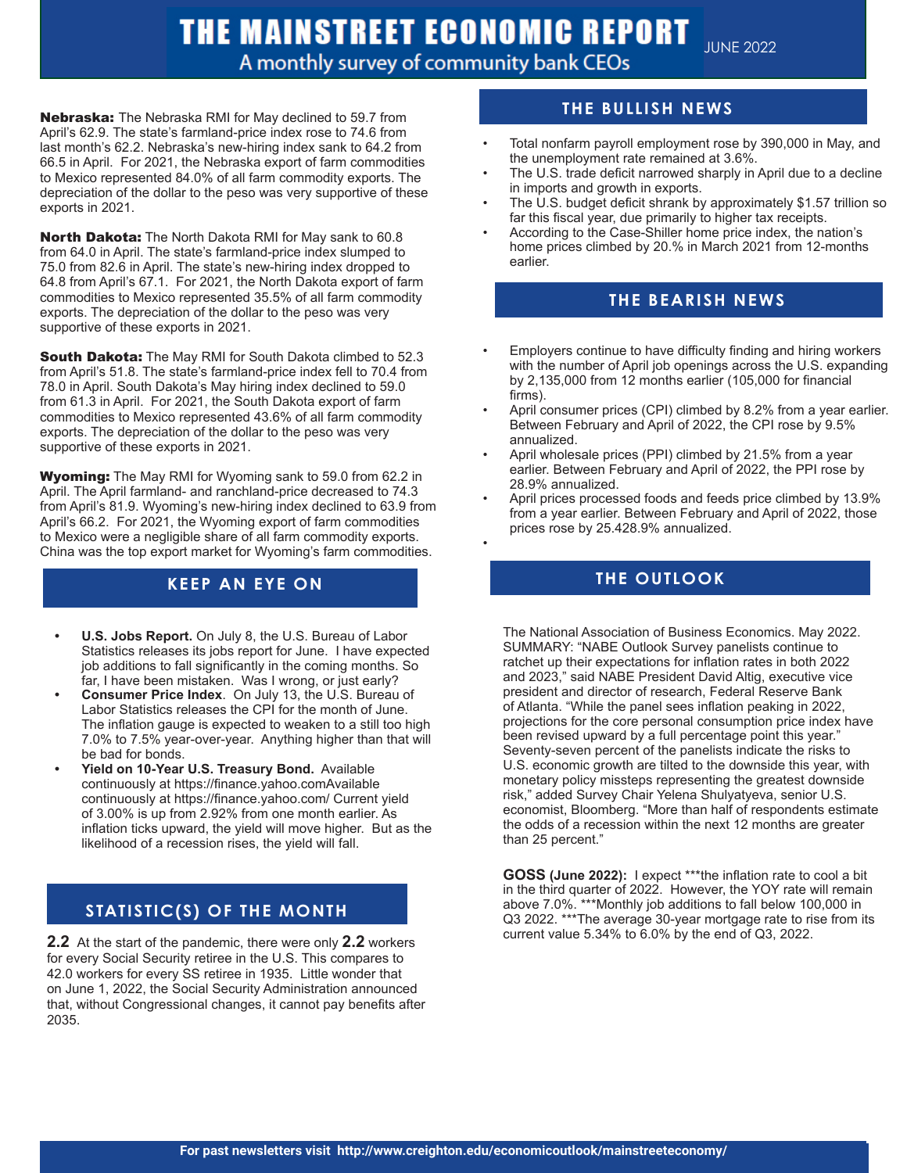## THE MAINSTREET ECONOMIC REPORT

A monthly survey of community bank CEOs

•

JUNE 2022

Nebraska: The Nebraska RMI for May declined to 59.7 from April's 62.9. The state's farmland-price index rose to 74.6 from last month's 62.2. Nebraska's new-hiring index sank to 64.2 from 66.5 in April. For 2021, the Nebraska export of farm commodities to Mexico represented 84.0% of all farm commodity exports. The depreciation of the dollar to the peso was very supportive of these exports in 2021.

**Supportive of these exports in 2021.**<br> **Supportive of these exports in 2021.** North Dakota: The North Dakota RMI for May sank to 60.8 from 64.0 in April. The state's farmland-price index slumped to 75.0 from 82.6 in April. The state's new-hiring index dropped to 64.8 from April's 67.1. For 2021, the North Dakota export of farm commodities to Mexico represented 35.5% of all farm commodity exports. The depreciation of the dollar to the peso was very

> South Dakota: The May RMI for South Dakota climbed to 52.3 from April's 51.8. The state's farmland-price index fell to 70.4 from 78.0 in April. South Dakota's May hiring index declined to 59.0 from 61.3 in April. For 2021, the South Dakota export of farm commodities to Mexico represented 43.6% of all farm commodity exports. The depreciation of the dollar to the peso was very supportive of these exports in 2021.

Wyoming: The May RMI for Wyoming sank to 59.0 from 62.2 in April. The April farmland- and ranchland-price decreased to 74.3 from April's 81.9. Wyoming's new-hiring index declined to 63.9 from April's 66.2. For 2021, the Wyoming export of farm commodities to Mexico were a negligible share of all farm commodity exports. China was the top export market for Wyoming's farm commodities.

- **• U.S. Jobs Report.** On July 8, the U.S. Bureau of Labor Statistics releases its jobs report for June. I have expected job additions to fall significantly in the coming months. So far, I have been mistaken. Was I wrong, or just early?
- **• Consumer Price Index**. On July 13, the U.S. Bureau of Labor Statistics releases the CPI for the month of June. The inflation gauge is expected to weaken to a still too high 7.0% to 7.5% year-over-year. Anything higher than that will be bad for bonds.
- **• Yield on 10-Year U.S. Treasury Bond.** Available continuously at https://finance.yahoo.comAvailable continuously at https://finance.yahoo.com/ Current yield of 3.00% is up from 2.92% from one month earlier. As inflation ticks upward, the yield will move higher. But as the likelihood of a recession rises, the yield will fall.

## **STATISTIC(S) OF THE MONTH**

**2.2** At the start of the pandemic, there were only **2.2** workers for every Social Security retiree in the U.S. This compares to 42.0 workers for every SS retiree in 1935. Little wonder that on June 1, 2022, the Social Security Administration announced that, without Congressional changes, it cannot pay benefits after 2035.

## **THE BULLISH NEWS**

- Total nonfarm payroll employment rose by 390,000 in May, and the unemployment rate remained at 3.6%.
- The U.S. trade deficit narrowed sharply in April due to a decline in imports and growth in exports.
- The U.S. budget deficit shrank by approximately \$1.57 trillion so far this fiscal year, due primarily to higher tax receipts.
- According to the Case-Shiller home price index, the nation's home prices climbed by 20.% in March 2021 from 12-months earlier.

## **THE BEARISH NEWS**

- Employers continue to have difficulty finding and hiring workers with the number of April job openings across the U.S. expanding by 2,135,000 from 12 months earlier (105,000 for financial firms).
- April consumer prices (CPI) climbed by 8.2% from a year earlier. Between February and April of 2022, the CPI rose by 9.5% annualized.
- April wholesale prices (PPI) climbed by 21.5% from a year earlier. Between February and April of 2022, the PPI rose by 28.9% annualized.
- April prices processed foods and feeds price climbed by 13.9% from a year earlier. Between February and April of 2022, those prices rose by 25.428.9% annualized.

## **THE OUTLOOK KEEP AN EYE ON**

The National Association of Business Economics. May 2022. SUMMARY: "NABE Outlook Survey panelists continue to ratchet up their expectations for inflation rates in both 2022 and 2023," said NABE President David Altig, executive vice president and director of research, Federal Reserve Bank of Atlanta. "While the panel sees inflation peaking in 2022, projections for the core personal consumption price index have been revised upward by a full percentage point this year." Seventy-seven percent of the panelists indicate the risks to U.S. economic growth are tilted to the downside this year, with monetary policy missteps representing the greatest downside risk," added Survey Chair Yelena Shulyatyeva, senior U.S. economist, Bloomberg. "More than half of respondents estimate the odds of a recession within the next 12 months are greater than 25 percent."

**GOSS (June 2022):** I expect \*\*\*the inflation rate to cool a bit in the third quarter of 2022. However, the YOY rate will remain above 7.0%. \*\*\*Monthly job additions to fall below 100,000 in Q3 2022. \*\*\*The average 30-year mortgage rate to rise from its current value 5.34% to 6.0% by the end of Q3, 2022.